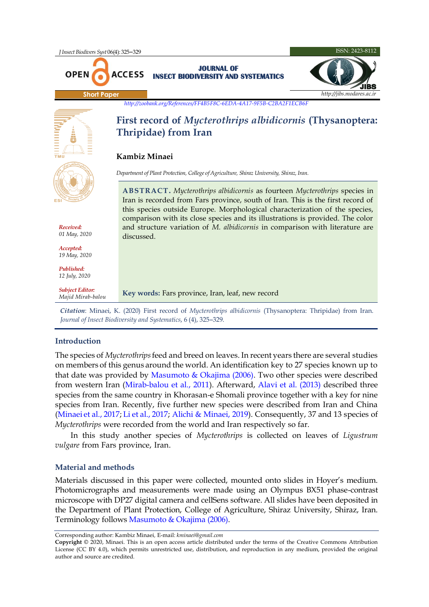

# **Introduction**

The species of *Mycterothrips*feed and breed on leaves. In recent years there are several studies on members of this genus around the world. An identification key to 27 species known up to that date was provided by [Masumoto & Okajima \(2006\).](#page-3-0) Two other species were described from western Iran [\(Mirab-balou et al., 2011\)](#page-3-1). Afterward, [Alavi et al. \(2013\)](#page-3-2) described three species from the same country in Khorasan-e Shomali province together with a key for nine species from Iran. Recently, five further new species were described from Iran and China [\(Minaei et al., 2017;](#page-3-3) [Li et al., 2017;](#page-3-4) [Alichi & Minaei, 2019\).](#page-3-5) Consequently, 37 and 13 species of *Mycterothrips* were recorded from the world and Iran respectively so far.

In this study another species of *Mycterothrips* is collected on leaves of *Ligustrum vulgare* from Fars province, Iran.

# **Material and methods**

Materials discussed in this paper were collected, mounted onto slides in Hoyer's medium. Photomicrographs and measurements were made using an Olympus BX51 phase-contrast microscope with DP27 digital camera and cellSens software. All slides have been deposited in the Department of Plant Protection, College of Agriculture, Shiraz University, Shiraz, Iran. Terminology follows [Masumoto & Okajima \(2006\).](#page-3-0)

Corresponding author: Kambiz Minaei*,* E-mail: *kminaei@gmail.com*

**Copyright** © 2020, Minaei. This is an open access article distributed under the terms of the Creative Commons Attribution License (CC BY 4.0), which permits unrestricted use, distribution, and reproduction in any medium, provided the original author and source are credited.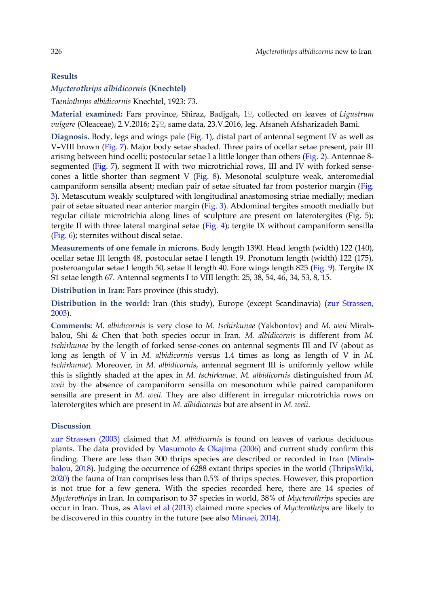## **Results**

## *Mycterothrips albidicornis* **(Knechtel)**

*Taeniothrips albidicornis* Knechtel, 1923: 73.

**Material examined:** Fars province, Shiraz, Badjgah, 1♀, collected on leaves of *Ligustrum vulgare* (Oleaceae), 2.V.2016; 2♀♀, same data, 23.V.2016, leg. Afsaneh Afsharizadeh Bami.

Diagnosis. Body, legs and wings pale [\(Fig. 1\)](#page-2-0), distal part of antennal segment IV as well as V–VIII brown [\(Fig. 7\)](#page-2-0). Major body setae shaded. Three pairs of ocellar setae present, pair III arising between hind ocelli; postocular setae I a little longer than others [\(Fig. 2\)](#page-2-0). Antennae 8 segmented [\(Fig. 7\)](#page-2-0), segment II with two microtrichial rows, III and IV with forked sensecones a little shorter than segment V [\(Fig. 8\)](#page-2-0). Mesonotal sculpture weak, anteromedial campaniform sensilla absent; median pair of setae situated far from posterior margin [\(Fig.](#page-2-0)  [3\)](#page-2-0). Metascutum weakly sculptured with longitudinal anastomosing striae medially; median pair of setae situated near anterior margin [\(Fig. 3\)](#page-2-0). Abdominal tergites smooth medially but regular ciliate microtrichia along lines of sculpture are present on laterotergites (Fig. 5); tergite II with three lateral marginal setae [\(Fig. 4\)](#page-2-0); tergite IX without campaniform sensilla [\(Fig. 6\)](#page-2-0); sternites without discal setae.

**Measurements of one female in microns.** Body length 1390. Head length (width) 122 (140), ocellar setae III length 48, postocular setae I length 19. Pronotum length (width) 122 (175), posteroangular setae I length 50, setae II length 40. Fore wings length 825 [\(Fig. 9\)](#page-2-0). Tergite IX S1 setae length 67. Antennal segments I to VIII length: 25, 38, 54, 46, 34, 53, 8, 15.

**Distribution in Iran:** Fars province (this study).

**Distribution in the world:** Iran (this study), Europe (except Scandinavia) [\(zur Strassen,](#page-3-6)  [2003\)](#page-3-6).

**Comments:** *M. albidicornis* is very close to *M. tschirkunae* (Yakhontov) and *M. weii* Mirabbalou, Shi & Chen that both species occur in Iran. *M. albidicornis* is different from *M. tschirkunae* by the length of forked sense-cones on antennal segments III and IV (about as long as length of V in *M. albidicornis* versus 1.4 times as long as length of V in *M. tschirkunae*). Moreover, in *M. albidicornis*, antennal segment III is uniformly yellow while this is slightly shaded at the apex in *M. tschirkunae*. *M. albidicornis* distinguished from *M. weii* by the absence of campaniform sensilla on mesonotum while paired campaniform sensilla are present in *M. weii*. They are also different in irregular microtrichia rows on laterotergites which are present in *M. albidicornis* but are absent in *M. weii*.

## **Discussion**

[zur Strassen \(2003\)](#page-3-6) claimed that *M. albidicornis* is found on leaves of various deciduous plants. The data provided by Masumoto  $\&$  Okajima (2006) and current study confirm this finding. There are less than 300 thrips species are described or recorded in Iran [\(Mirab](#page-3-7)[balou, 2018\)](#page-3-7). Judging the occurrence of 6288 extant thrips species in the world [\(ThripsWiki,](#page-3-8)  [2020\)](#page-3-8) the fauna of Iran comprises less than 0.5% of thrips species. However, this proportion is not true for a few genera. With the species recorded here, there are 14 species of *Mycterothrips* in Iran. In comparison to 37 species in world, 38% of *Mycterothrips* species are occur in Iran. Thus, as [Alavi et al \(2013\)](#page-3-2) claimed more species of *Mycterothrips* are likely to be discovered in this country in the future (see also [Minaei, 2014\)](#page-3-9).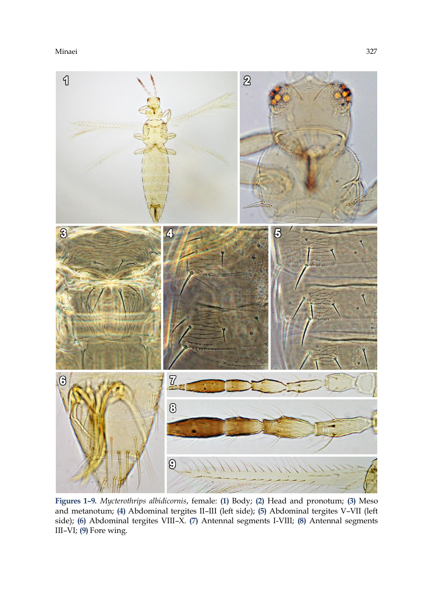<span id="page-2-0"></span>

**Figures 1–9.** *Mycterothrips albidicornis*, female: **(1)** Body; **(2)** Head and pronotum; **(3)** Meso and metanotum; **(4)** Abdominal tergites II–III (left side); **(5)** Abdominal tergites V–VII (left side); **(6)** Abdominal tergites VIII–X. **(7)** Antennal segments I-VIII; **(8)** Antennal segments III–VI; **(9)** Fore wing.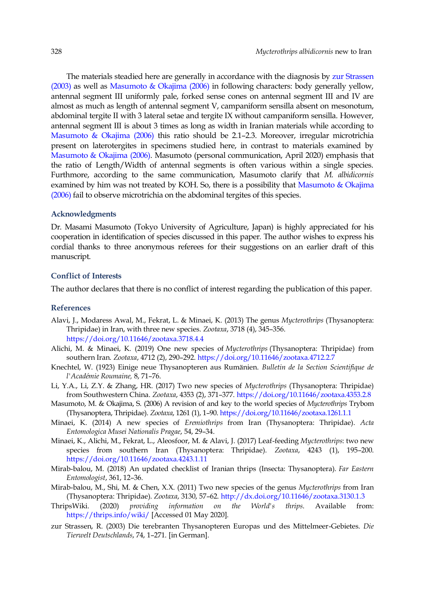The materials steadied here are generally in accordance with the diagnosis by [zur Strassen](#page-3-6)  [\(2003\)](#page-3-6) as well as [Masumoto & Okajima \(2006\)](#page-3-0) in following characters: body generally yellow, antennal segment III uniformly pale, forked sense cones on antennal segment III and IV are almost as much as length of antennal segment V, campaniform sensilla absent on mesonotum, abdominal tergite II with 3 lateral setae and tergite IX without campaniform sensilla. However, antennal segment III is about 3 times as long as width in Iranian materials while according to [Masumoto & Okajima \(2006\)](#page-3-0) this ratio should be 2.1–2.3. Moreover, irregular microtrichia present on laterotergites in specimens studied here, in contrast to materials examined by [Masumoto & Okajima \(2006\).](#page-3-0) Masumoto (personal communication, April 2020) emphasis that the ratio of Length/Width of antennal segments is often various within a single species. Furthmore, according to the same communication, Masumoto clarify that *M. albidicornis* examined by him was not treated by KOH. So, there is a possibility that Masumoto & Okajima [\(2006\)](#page-3-0) fail to observe microtrichia on the abdominal tergites of this species.

# **Acknowledgments**

Dr. Masami Masumoto (Tokyo University of Agriculture, Japan) is highly appreciated for his cooperation in identification of species discussed in this paper. The author wishes to express his cordial thanks to three anonymous referees for their suggestions on an earlier draft of this manuscript.

## **Conflict of Interests**

The author declares that there is no conflict of interest regarding the publication of this paper.

#### **References**

- <span id="page-3-2"></span>Alavi, J., Modaress Awal, M., Fekrat, L. & Minaei, K. (2013) The genus *Mycterothrips* (Thysanoptera: Thripidae) in Iran, with three new species. *Zootaxa*, 3718 (4), 345–356. <https://doi.org/10.11646/zootaxa.3718.4.4>
- <span id="page-3-5"></span>Alichi, M. & Minaei, K. (2019) One new species of *Mycterothrips* (Thysanoptera: Thripidae) from southern Iran. *Zootaxa*, 4712 (2), 290–292. <https://doi.org/10.11646/zootaxa.4712.2.7>
- Knechtel, W. (1923) Einige neue Thysanopteren aus Rumänien. *Bulletin de la Section Scientifique de l'Académie Roumaine,* 8, 71–76.
- <span id="page-3-4"></span>Li, Y.A., Li, Z.Y. & Zhang, HR. (2017) Two new species of *Mycterothrips* (Thysanoptera: Thripidae) from Southwestern China. *Zootaxa*, 4353 (2), 371–377. <https://doi.org/10.11646/zootaxa.4353.2.8>
- <span id="page-3-0"></span>Masumoto, M. & Okajima, S. (2006) A revision of and key to the world species of *Mycterothrips* Trybom (Thysanoptera, Thripidae). *Zootaxa*, 1261 (1), 1–90. <https://doi.org/10.11646/zootaxa.1261.1.1>
- <span id="page-3-9"></span>Minaei, K. (2014) A new species of *Eremiothrips* from Iran (Thysanoptera: Thripidae). *Acta Entomologica Musei Nationalis Pragae*, 54, 29–34.
- <span id="page-3-3"></span>Minaei, K., Alichi, M., Fekrat, L., Aleosfoor, M. & Alavi, J. (2017) Leaf-feeding *Mycterothrips*: two new species from southern Iran (Thysanoptera: Thripidae). *Zootaxa*, 4243 (1), 195–200. <https://doi.org/10.11646/zootaxa.4243.1.11>
- <span id="page-3-7"></span>Mirab-balou, M. (2018) An updated checklist of Iranian thrips (Insecta: Thysanoptera). *Far Eastern Entomologist*, 361, 12–36.
- <span id="page-3-1"></span>Mirab-balou, M., Shi, M. & Chen, X.X. (2011) Two new species of the genus *Mycterothrips* from Iran (Thysanoptera: Thripidae). *Zootaxa*, 3130, 57–62. <http://dx.doi.org/10.11646/zootaxa.3130.1.3>
- <span id="page-3-8"></span>ThripsWiki. (2020) *providing information on the World's thrips*. Available from: <https://thrips.info/wiki/> [Accessed 01 May 2020].
- <span id="page-3-6"></span>zur Strassen, R. (2003) Die terebranten Thysanopteren Europas und des Mittelmeer-Gebietes. *Die Tierwelt Deutschlands*, 74, 1–271. [in German].